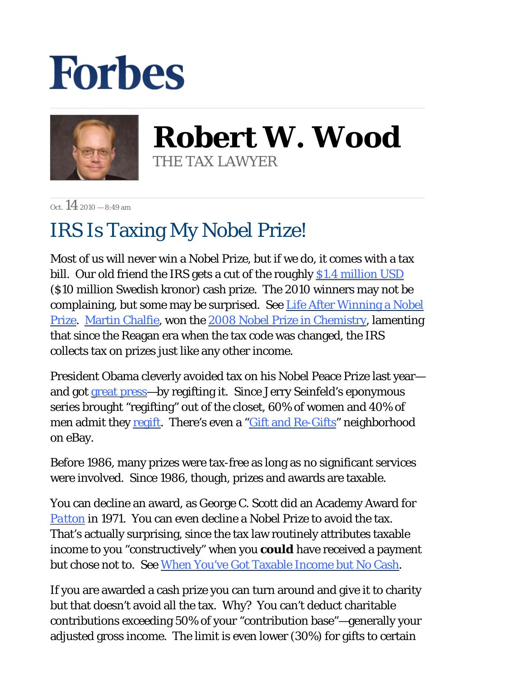## **Forbes**



**Robert W. Wood** THE TAX LAWYER

 $Oct$  14 2010 – 8:49 am

## IRS Is Taxing My Nobel Prize!

Most of us will never win a Nobel Prize, but if we do, it comes with a tax bill. Our old friend the IRS gets a cut of the roughly \$1.4 million USD (\$10 million Swedish kronor) cash prize. The 2010 winners may not be complaining, but some may be surprised. See Life After Winning a Nobel Prize. Martin Chalfie, won the 2008 Nobel Prize in Chemistry, lamenting that since the Reagan era when the tax code was changed, the IRS collects tax on prizes just like any other income.

President Obama cleverly avoided tax on his Nobel Peace Prize last year and got great press—by regifting it. Since Jerry Seinfeld's eponymous series brought "regifting" out of the closet, 60% of women and 40% of men admit they regift. There's even a "*Gift and Re-Gifts*" neighborhood on eBay.

Before 1986, many prizes were tax-free as long as no significant services were involved. Since 1986, though, prizes and awards are taxable.

You can decline an award, as George C. Scott did an Academy Award for *Patton* in 1971. You can even decline a Nobel Prize to avoid the tax. That's actually surprising, since the tax law routinely attributes taxable income to you "constructively" when you *could* have received a payment but chose not to. See When You've Got Taxable Income but No Cash.

If you are awarded a cash prize you can turn around and give it to charity but that doesn't avoid all the tax. Why? You can't deduct charitable contributions exceeding 50% of your "contribution base"—generally your adjusted gross income. The limit is even lower (30%) for gifts to certain